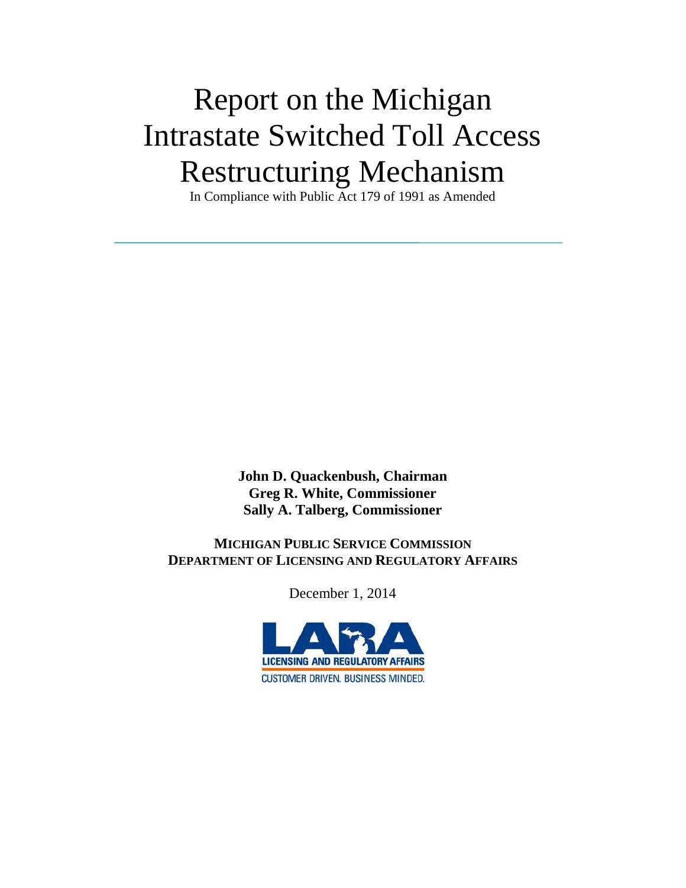# Report on the Michigan Intrastate Switched Toll Access Restructuring Mechanism

In Compliance with Public Act 179 of 1991 as Amended

**John D. Quackenbush, Chairman Greg R. White, Commissioner Sally A. Talberg, Commissioner**

 **MICHIGAN PUBLIC SERVICE COMMISSION DEPARTMENT OF LICENSING AND REGULATORY AFFAIRS**

December 1, 2014

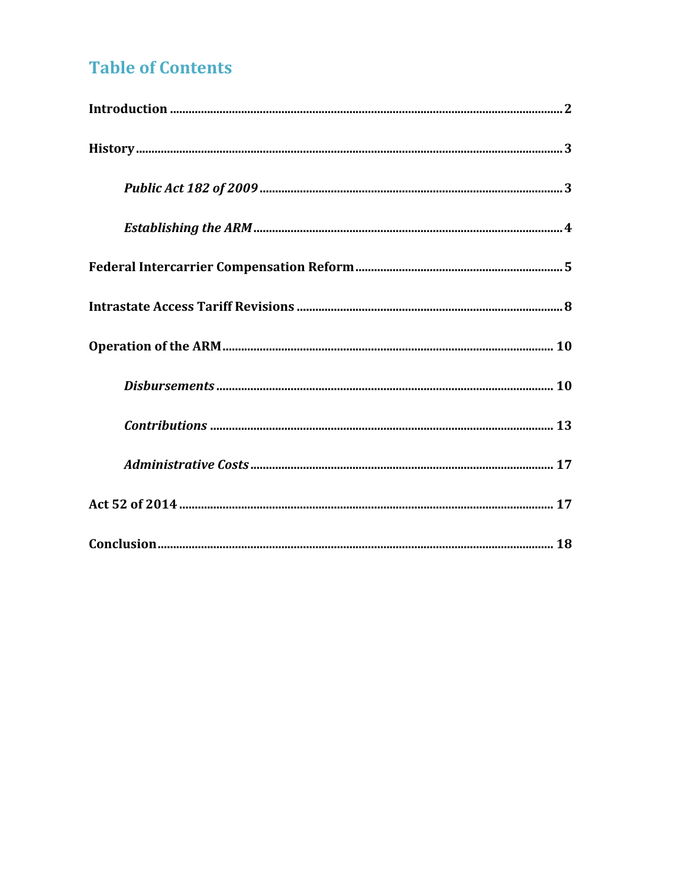## **Table of Contents**

<span id="page-1-0"></span>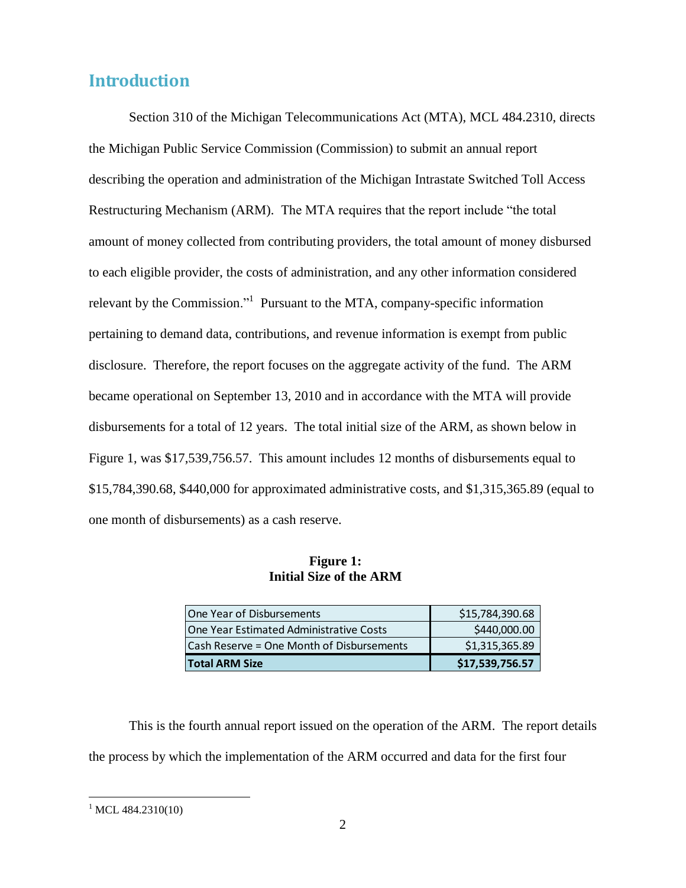## **Introduction**

Section 310 of the Michigan Telecommunications Act (MTA), MCL 484.2310, directs the Michigan Public Service Commission (Commission) to submit an annual report describing the operation and administration of the Michigan Intrastate Switched Toll Access Restructuring Mechanism (ARM). The MTA requires that the report include "the total amount of money collected from contributing providers, the total amount of money disbursed to each eligible provider, the costs of administration, and any other information considered relevant by the Commission."<sup>1</sup> Pursuant to the MTA, company-specific information pertaining to demand data, contributions, and revenue information is exempt from public disclosure. Therefore, the report focuses on the aggregate activity of the fund. The ARM became operational on September 13, 2010 and in accordance with the MTA will provide disbursements for a total of 12 years. The total initial size of the ARM, as shown below in Figure 1, was \$17,539,756.57. This amount includes 12 months of disbursements equal to \$15,784,390.68, \$440,000 for approximated administrative costs, and \$1,315,365.89 (equal to one month of disbursements) as a cash reserve.

#### **Figure 1: Initial Size of the ARM**

| One Year of Disbursements                       | \$15,784,390.68 |
|-------------------------------------------------|-----------------|
| <b>IOne Year Estimated Administrative Costs</b> | \$440,000.00    |
| Cash Reserve = One Month of Disbursements       | \$1,315,365.89  |
| <b>Total ARM Size</b>                           | \$17,539,756.57 |

This is the fourth annual report issued on the operation of the ARM. The report details the process by which the implementation of the ARM occurred and data for the first four

 $^{1}$  MCL 484.2310(10)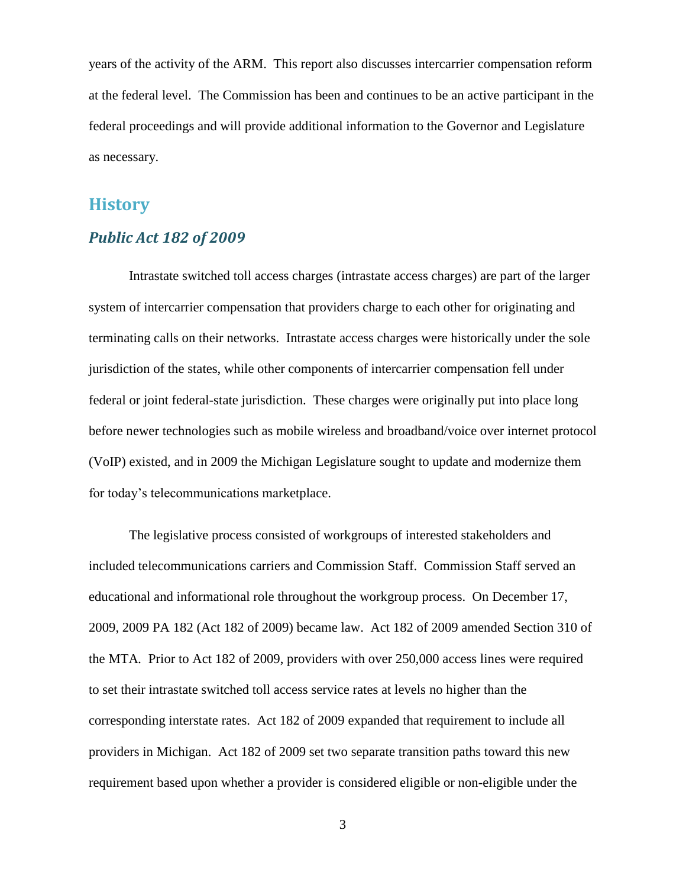years of the activity of the ARM. This report also discusses intercarrier compensation reform at the federal level. The Commission has been and continues to be an active participant in the federal proceedings and will provide additional information to the Governor and Legislature as necessary.

### <span id="page-3-0"></span>**History**

#### <span id="page-3-1"></span>*Public Act 182 of 2009*

Intrastate switched toll access charges (intrastate access charges) are part of the larger system of intercarrier compensation that providers charge to each other for originating and terminating calls on their networks. Intrastate access charges were historically under the sole jurisdiction of the states, while other components of intercarrier compensation fell under federal or joint federal-state jurisdiction. These charges were originally put into place long before newer technologies such as mobile wireless and broadband/voice over internet protocol (VoIP) existed, and in 2009 the Michigan Legislature sought to update and modernize them for today's telecommunications marketplace.

The legislative process consisted of workgroups of interested stakeholders and included telecommunications carriers and Commission Staff. Commission Staff served an educational and informational role throughout the workgroup process. On December 17, 2009, 2009 PA 182 (Act 182 of 2009) became law. Act 182 of 2009 amended Section 310 of the MTA*.* Prior to Act 182 of 2009, providers with over 250,000 access lines were required to set their intrastate switched toll access service rates at levels no higher than the corresponding interstate rates. Act 182 of 2009 expanded that requirement to include all providers in Michigan. Act 182 of 2009 set two separate transition paths toward this new requirement based upon whether a provider is considered eligible or non-eligible under the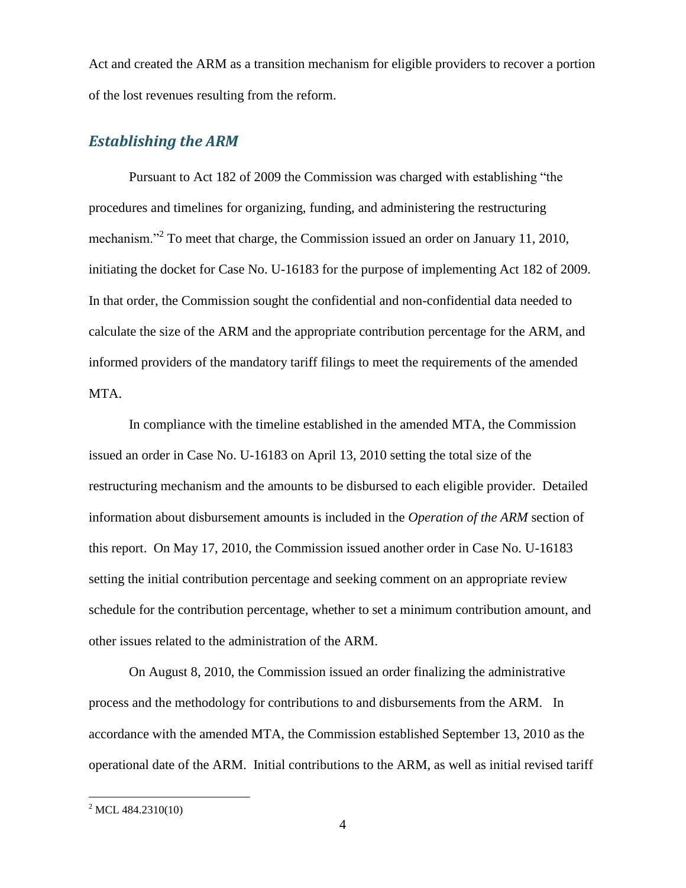Act and created the ARM as a transition mechanism for eligible providers to recover a portion of the lost revenues resulting from the reform.

#### <span id="page-4-0"></span>*Establishing the ARM*

Pursuant to Act 182 of 2009 the Commission was charged with establishing "the procedures and timelines for organizing, funding, and administering the restructuring mechanism."<sup>2</sup> To meet that charge, the Commission issued an order on January 11, 2010, initiating the docket for Case No. U-16183 for the purpose of implementing Act 182 of 2009. In that order, the Commission sought the confidential and non-confidential data needed to calculate the size of the ARM and the appropriate contribution percentage for the ARM, and informed providers of the mandatory tariff filings to meet the requirements of the amended MTA.

In compliance with the timeline established in the amended MTA, the Commission issued an order in Case No. U-16183 on April 13, 2010 setting the total size of the restructuring mechanism and the amounts to be disbursed to each eligible provider. Detailed information about disbursement amounts is included in the *Operation of the ARM* section of this report. On May 17, 2010, the Commission issued another order in Case No. U-16183 setting the initial contribution percentage and seeking comment on an appropriate review schedule for the contribution percentage, whether to set a minimum contribution amount, and other issues related to the administration of the ARM.

On August 8, 2010, the Commission issued an order finalizing the administrative process and the methodology for contributions to and disbursements from the ARM. In accordance with the amended MTA, the Commission established September 13, 2010 as the operational date of the ARM. Initial contributions to the ARM, as well as initial revised tariff

 $^{2}$  MCL 484.2310(10)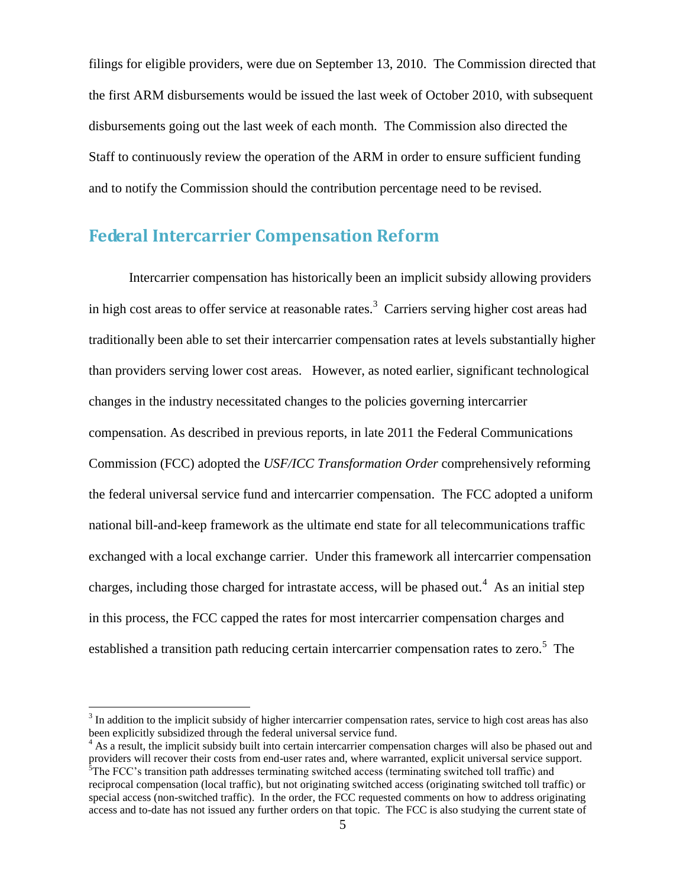filings for eligible providers, were due on September 13, 2010. The Commission directed that the first ARM disbursements would be issued the last week of October 2010, with subsequent disbursements going out the last week of each month. The Commission also directed the Staff to continuously review the operation of the ARM in order to ensure sufficient funding and to notify the Commission should the contribution percentage need to be revised.

## <span id="page-5-0"></span>**Federal Intercarrier Compensation Reform**

Intercarrier compensation has historically been an implicit subsidy allowing providers in high cost areas to offer service at reasonable rates.<sup>3</sup> Carriers serving higher cost areas had traditionally been able to set their intercarrier compensation rates at levels substantially higher than providers serving lower cost areas. However, as noted earlier, significant technological changes in the industry necessitated changes to the policies governing intercarrier compensation. As described in previous reports, in late 2011 the Federal Communications Commission (FCC) adopted the *USF/ICC Transformation Order* comprehensively reforming the federal universal service fund and intercarrier compensation. The FCC adopted a uniform national bill-and-keep framework as the ultimate end state for all telecommunications traffic exchanged with a local exchange carrier. Under this framework all intercarrier compensation charges, including those charged for intrastate access, will be phased out.<sup>4</sup> As an initial step in this process, the FCC capped the rates for most intercarrier compensation charges and established a transition path reducing certain intercarrier compensation rates to zero.<sup>5</sup> The

 $3$  In addition to the implicit subsidy of higher intercarrier compensation rates, service to high cost areas has also been explicitly subsidized through the federal universal service fund.

<sup>&</sup>lt;sup>4</sup> As a result, the implicit subsidy built into certain intercarrier compensation charges will also be phased out and providers will recover their costs from end-user rates and, where warranted, explicit universal service support. <sup>5</sup>The FCC's transition path addresses terminating switched access (terminating switched toll traffic) and reciprocal compensation (local traffic), but not originating switched access (originating switched toll traffic) or special access (non-switched traffic). In the order, the FCC requested comments on how to address originating access and to-date has not issued any further orders on that topic. The FCC is also studying the current state of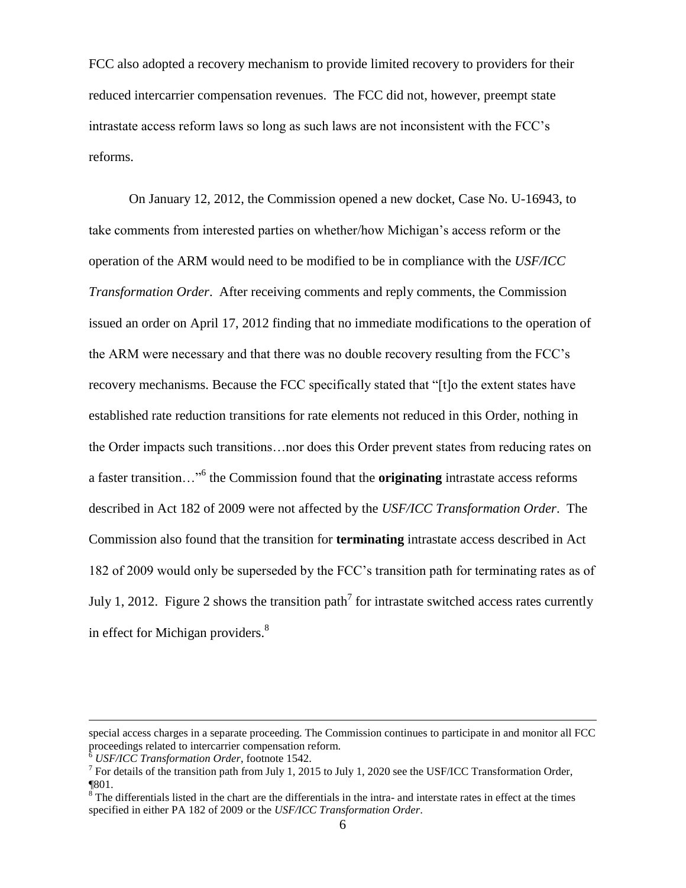FCC also adopted a recovery mechanism to provide limited recovery to providers for their reduced intercarrier compensation revenues. The FCC did not, however, preempt state intrastate access reform laws so long as such laws are not inconsistent with the FCC's reforms.

On January 12, 2012, the Commission opened a new docket, Case No. U-16943, to take comments from interested parties on whether/how Michigan's access reform or the operation of the ARM would need to be modified to be in compliance with the *USF/ICC Transformation Order*. After receiving comments and reply comments, the Commission issued an order on April 17, 2012 finding that no immediate modifications to the operation of the ARM were necessary and that there was no double recovery resulting from the FCC's recovery mechanisms. Because the FCC specifically stated that "[t]o the extent states have established rate reduction transitions for rate elements not reduced in this Order, nothing in the Order impacts such transitions…nor does this Order prevent states from reducing rates on a faster transition…"<sup>6</sup> the Commission found that the **originating** intrastate access reforms described in Act 182 of 2009 were not affected by the *USF/ICC Transformation Order*. The Commission also found that the transition for **terminating** intrastate access described in Act 182 of 2009 would only be superseded by the FCC's transition path for terminating rates as of July 1, 2012. Figure 2 shows the transition path<sup>7</sup> for intrastate switched access rates currently in effect for Michigan providers.<sup>8</sup>

special access charges in a separate proceeding. The Commission continues to participate in and monitor all FCC proceedings related to intercarrier compensation reform.

<sup>6</sup> *USF/ICC Transformation Order*, footnote 1542.

<sup>&</sup>lt;sup>7</sup> For details of the transition path from July 1, 2015 to July 1, 2020 see the USF/ICC Transformation Order, ¶801.

 $\sin^8$  The differentials listed in the chart are the differentials in the intra- and interstate rates in effect at the times specified in either PA 182 of 2009 or the *USF/ICC Transformation Order*.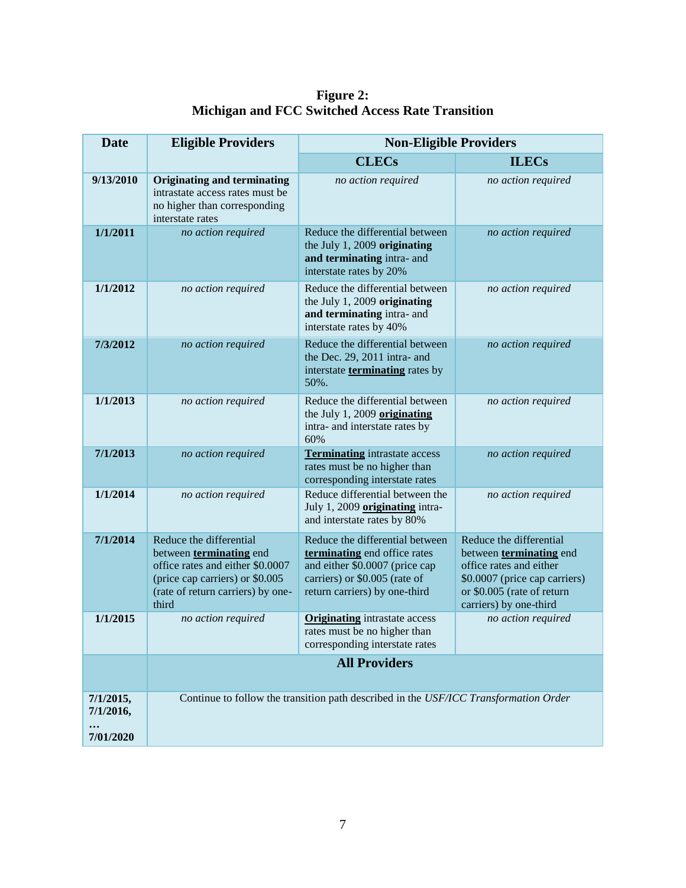**Figure 2: Michigan and FCC Switched Access Rate Transition**

| <b>Date</b>            | <b>Eligible Providers</b><br><b>Non-Eligible Providers</b>                                                                                                                     |                                                                                                                                                                     |                                                                                                                                                                        |
|------------------------|--------------------------------------------------------------------------------------------------------------------------------------------------------------------------------|---------------------------------------------------------------------------------------------------------------------------------------------------------------------|------------------------------------------------------------------------------------------------------------------------------------------------------------------------|
|                        |                                                                                                                                                                                | <b>CLECs</b>                                                                                                                                                        | <b>ILECs</b>                                                                                                                                                           |
| 9/13/2010              | <b>Originating and terminating</b><br>intrastate access rates must be<br>no higher than corresponding<br>interstate rates                                                      | no action required                                                                                                                                                  | no action required                                                                                                                                                     |
| 1/1/2011               | no action required                                                                                                                                                             | Reduce the differential between<br>the July 1, 2009 originating<br>and terminating intra- and<br>interstate rates by 20%                                            | no action required                                                                                                                                                     |
| 1/1/2012               | no action required                                                                                                                                                             | Reduce the differential between<br>the July 1, 2009 originating<br>and terminating intra- and<br>interstate rates by 40%                                            | no action required                                                                                                                                                     |
| 7/3/2012               | no action required                                                                                                                                                             | Reduce the differential between<br>the Dec. 29, 2011 intra- and<br>interstate <b>terminating</b> rates by<br>50%.                                                   | no action required                                                                                                                                                     |
| 1/1/2013               | no action required                                                                                                                                                             | Reduce the differential between<br>the July 1, 2009 originating<br>intra- and interstate rates by<br>60%                                                            | no action required                                                                                                                                                     |
| 7/1/2013               | no action required                                                                                                                                                             | <b>Terminating</b> intrastate access<br>rates must be no higher than<br>corresponding interstate rates                                                              | no action required                                                                                                                                                     |
| 1/1/2014               | no action required                                                                                                                                                             | Reduce differential between the<br>July 1, 2009 originating intra-<br>and interstate rates by 80%                                                                   | no action required                                                                                                                                                     |
| 7/1/2014               | Reduce the differential<br>between <b>terminating</b> end<br>office rates and either \$0.0007<br>(price cap carriers) or \$0.005<br>(rate of return carriers) by one-<br>third | Reduce the differential between<br>terminating end office rates<br>and either \$0.0007 (price cap<br>carriers) or \$0.005 (rate of<br>return carriers) by one-third | Reduce the differential<br>between terminating end<br>office rates and either<br>\$0.0007 (price cap carriers)<br>or \$0.005 (rate of return<br>carriers) by one-third |
| 1/1/2015               | no action required                                                                                                                                                             | <b>Originating</b> intrastate access<br>rates must be no higher than<br>corresponding interstate rates                                                              | no action required                                                                                                                                                     |
|                        | <b>All Providers</b>                                                                                                                                                           |                                                                                                                                                                     |                                                                                                                                                                        |
| 7/1/2015,<br>7/1/2016, | Continue to follow the transition path described in the USF/ICC Transformation Order                                                                                           |                                                                                                                                                                     |                                                                                                                                                                        |
| 7/01/2020              |                                                                                                                                                                                |                                                                                                                                                                     |                                                                                                                                                                        |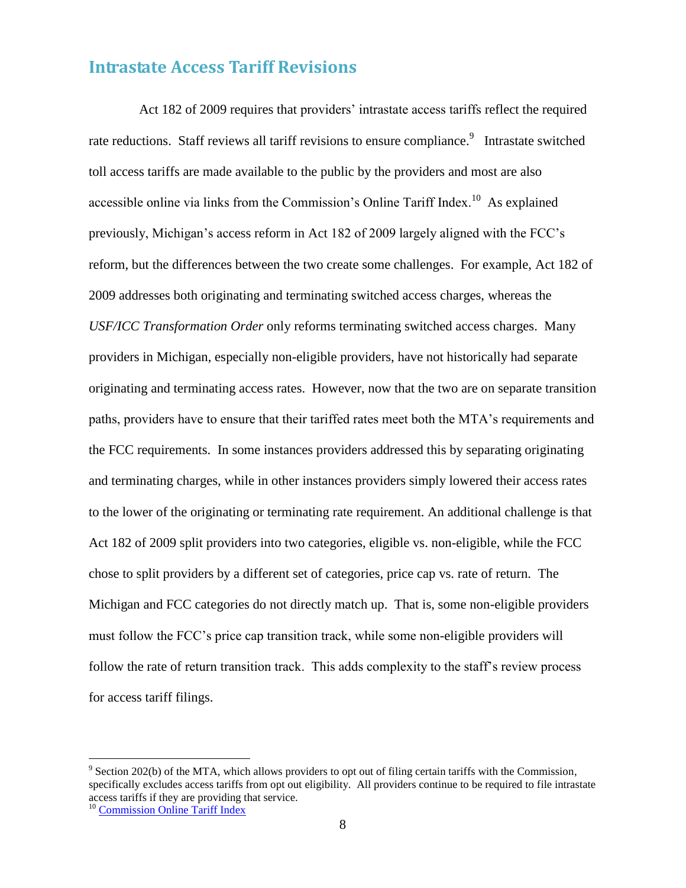## <span id="page-8-0"></span>**Intrastate Access Tariff Revisions**

 Act 182 of 2009 requires that providers' intrastate access tariffs reflect the required rate reductions. Staff reviews all tariff revisions to ensure compliance.<sup>9</sup> Intrastate switched toll access tariffs are made available to the public by the providers and most are also accessible online via links from the Commission's Online Tariff Index.<sup>10</sup> As explained previously, Michigan's access reform in Act 182 of 2009 largely aligned with the FCC's reform, but the differences between the two create some challenges. For example, Act 182 of 2009 addresses both originating and terminating switched access charges, whereas the *USF/ICC Transformation Order* only reforms terminating switched access charges. Many providers in Michigan, especially non-eligible providers, have not historically had separate originating and terminating access rates. However, now that the two are on separate transition paths, providers have to ensure that their tariffed rates meet both the MTA's requirements and the FCC requirements. In some instances providers addressed this by separating originating and terminating charges, while in other instances providers simply lowered their access rates to the lower of the originating or terminating rate requirement. An additional challenge is that Act 182 of 2009 split providers into two categories, eligible vs. non-eligible, while the FCC chose to split providers by a different set of categories, price cap vs. rate of return. The Michigan and FCC categories do not directly match up. That is, some non-eligible providers must follow the FCC's price cap transition track, while some non-eligible providers will follow the rate of return transition track. This adds complexity to the staff's review process for access tariff filings.

 $9^9$  Section 202(b) of the MTA, which allows providers to opt out of filing certain tariffs with the Commission, specifically excludes access tariffs from opt out eligibility. All providers continue to be required to file intrastate access tariffs if they are providing that service.

<sup>&</sup>lt;sup>10</sup> [Commission Online Tariff Index](http://www.dleg.state.mi.us/mpsc/comm/clec/tarfindx.htm)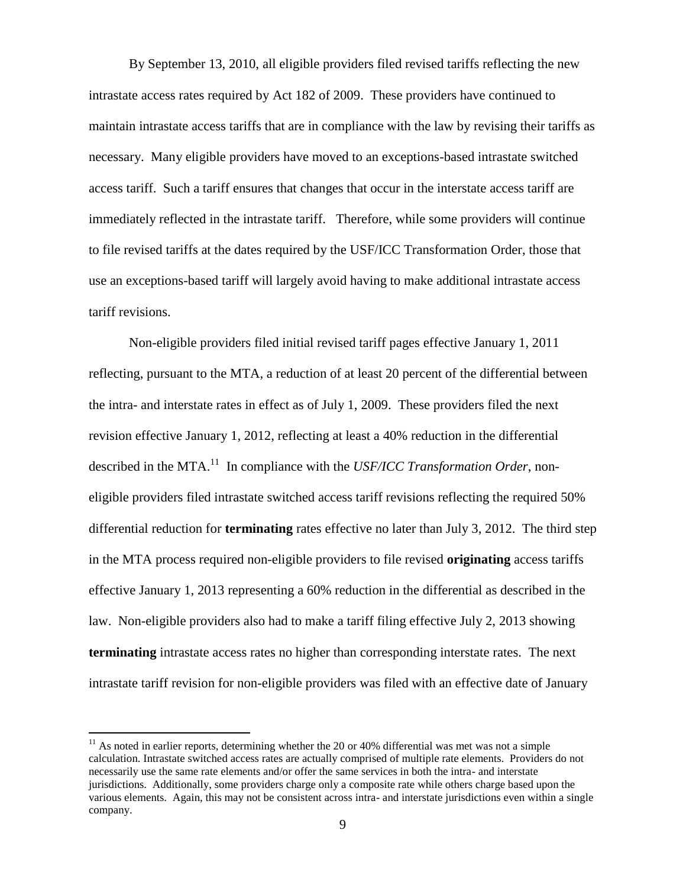By September 13, 2010, all eligible providers filed revised tariffs reflecting the new intrastate access rates required by Act 182 of 2009. These providers have continued to maintain intrastate access tariffs that are in compliance with the law by revising their tariffs as necessary. Many eligible providers have moved to an exceptions-based intrastate switched access tariff. Such a tariff ensures that changes that occur in the interstate access tariff are immediately reflected in the intrastate tariff. Therefore, while some providers will continue to file revised tariffs at the dates required by the USF/ICC Transformation Order, those that use an exceptions-based tariff will largely avoid having to make additional intrastate access tariff revisions.

Non-eligible providers filed initial revised tariff pages effective January 1, 2011 reflecting, pursuant to the MTA, a reduction of at least 20 percent of the differential between the intra- and interstate rates in effect as of July 1, 2009. These providers filed the next revision effective January 1, 2012, reflecting at least a 40% reduction in the differential described in the MTA.<sup>11</sup> In compliance with the *USF/ICC Transformation Order*, noneligible providers filed intrastate switched access tariff revisions reflecting the required 50% differential reduction for **terminating** rates effective no later than July 3, 2012. The third step in the MTA process required non-eligible providers to file revised **originating** access tariffs effective January 1, 2013 representing a 60% reduction in the differential as described in the law. Non-eligible providers also had to make a tariff filing effective July 2, 2013 showing **terminating** intrastate access rates no higher than corresponding interstate rates. The next intrastate tariff revision for non-eligible providers was filed with an effective date of January

 $11$  As noted in earlier reports, determining whether the 20 or 40% differential was met was not a simple calculation. Intrastate switched access rates are actually comprised of multiple rate elements. Providers do not necessarily use the same rate elements and/or offer the same services in both the intra- and interstate jurisdictions. Additionally, some providers charge only a composite rate while others charge based upon the various elements. Again, this may not be consistent across intra- and interstate jurisdictions even within a single company.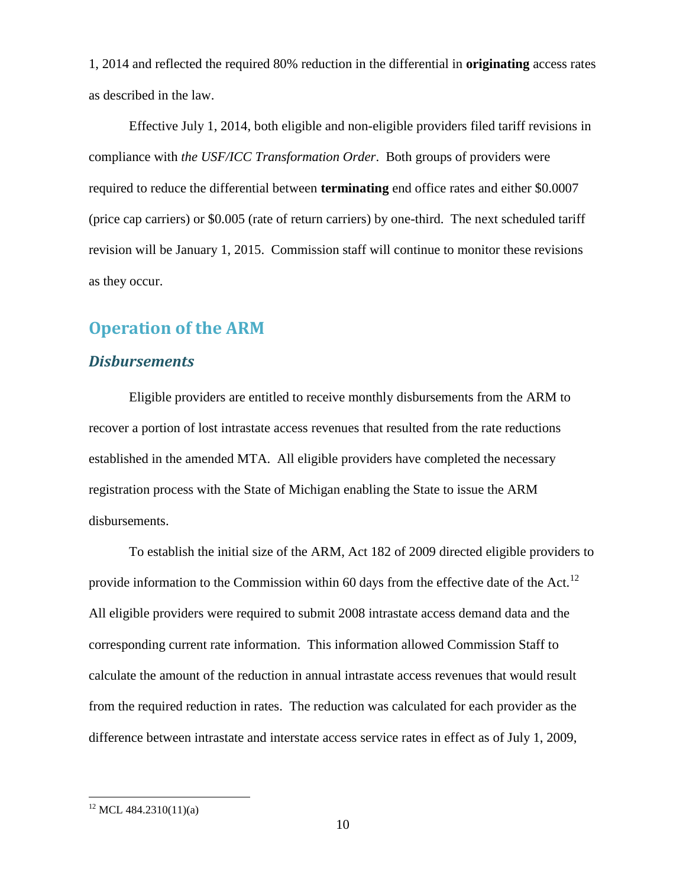1, 2014 and reflected the required 80% reduction in the differential in **originating** access rates as described in the law.

Effective July 1, 2014, both eligible and non-eligible providers filed tariff revisions in compliance with *the USF/ICC Transformation Order*. Both groups of providers were required to reduce the differential between **terminating** end office rates and either \$0.0007 (price cap carriers) or \$0.005 (rate of return carriers) by one-third. The next scheduled tariff revision will be January 1, 2015. Commission staff will continue to monitor these revisions as they occur.

## <span id="page-10-0"></span>**Operation of the ARM**

#### <span id="page-10-1"></span>*Disbursements*

Eligible providers are entitled to receive monthly disbursements from the ARM to recover a portion of lost intrastate access revenues that resulted from the rate reductions established in the amended MTA. All eligible providers have completed the necessary registration process with the State of Michigan enabling the State to issue the ARM disbursements.

To establish the initial size of the ARM, Act 182 of 2009 directed eligible providers to provide information to the Commission within 60 days from the effective date of the Act.<sup>12</sup> All eligible providers were required to submit 2008 intrastate access demand data and the corresponding current rate information. This information allowed Commission Staff to calculate the amount of the reduction in annual intrastate access revenues that would result from the required reduction in rates. The reduction was calculated for each provider as the difference between intrastate and interstate access service rates in effect as of July 1, 2009,

 $12$  MCL 484.2310(11)(a)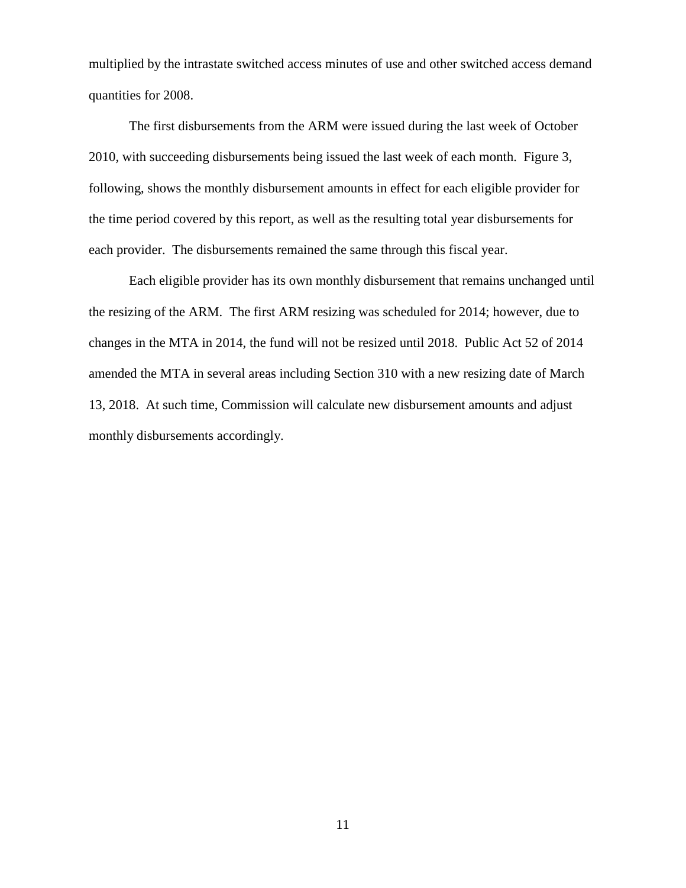multiplied by the intrastate switched access minutes of use and other switched access demand quantities for 2008.

The first disbursements from the ARM were issued during the last week of October 2010, with succeeding disbursements being issued the last week of each month. Figure 3, following, shows the monthly disbursement amounts in effect for each eligible provider for the time period covered by this report, as well as the resulting total year disbursements for each provider. The disbursements remained the same through this fiscal year.

Each eligible provider has its own monthly disbursement that remains unchanged until the resizing of the ARM. The first ARM resizing was scheduled for 2014; however, due to changes in the MTA in 2014, the fund will not be resized until 2018. Public Act 52 of 2014 amended the MTA in several areas including Section 310 with a new resizing date of March 13, 2018. At such time, Commission will calculate new disbursement amounts and adjust monthly disbursements accordingly.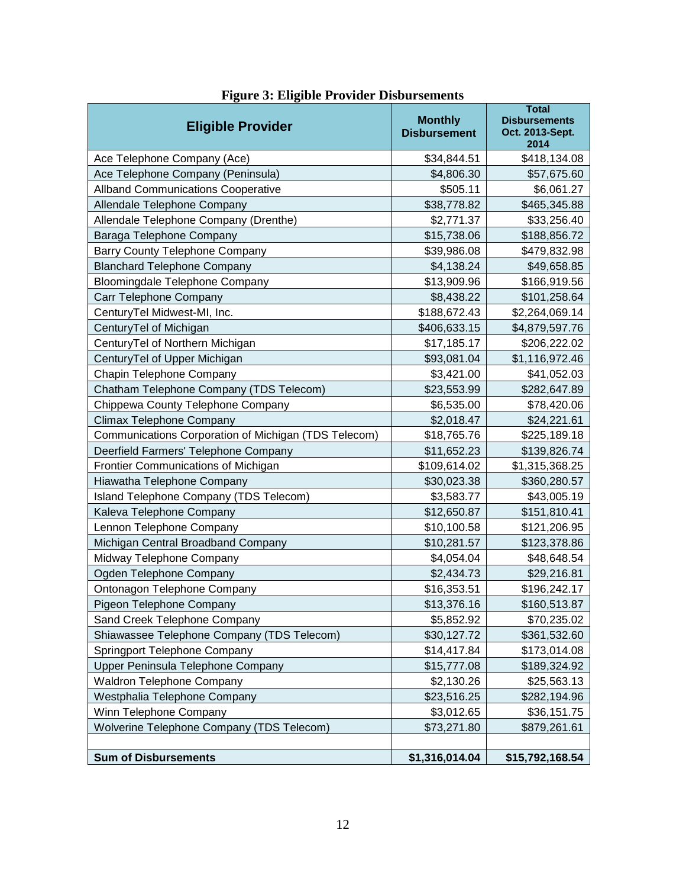| <b>Eligible Provider</b>                             | <b>Monthly</b><br><b>Disbursement</b> | <b>Total</b><br><b>Disbursements</b><br>Oct. 2013-Sept.<br>2014 |
|------------------------------------------------------|---------------------------------------|-----------------------------------------------------------------|
| Ace Telephone Company (Ace)                          | \$34,844.51                           | \$418,134.08                                                    |
| Ace Telephone Company (Peninsula)                    | \$4,806.30                            | \$57,675.60                                                     |
| <b>Allband Communications Cooperative</b>            | \$505.11                              | \$6,061.27                                                      |
| Allendale Telephone Company                          | \$38,778.82                           | \$465,345.88                                                    |
| Allendale Telephone Company (Drenthe)                | \$2,771.37                            | \$33,256.40                                                     |
| Baraga Telephone Company                             | \$15,738.06                           | \$188,856.72                                                    |
| <b>Barry County Telephone Company</b>                | \$39,986.08                           | \$479,832.98                                                    |
| <b>Blanchard Telephone Company</b>                   | \$4,138.24                            | \$49,658.85                                                     |
| <b>Bloomingdale Telephone Company</b>                | \$13,909.96                           | \$166,919.56                                                    |
| Carr Telephone Company                               | \$8,438.22                            | \$101,258.64                                                    |
| CenturyTel Midwest-MI, Inc.                          | \$188,672.43                          | \$2,264,069.14                                                  |
| CenturyTel of Michigan                               | \$406,633.15                          | \$4,879,597.76                                                  |
| CenturyTel of Northern Michigan                      | \$17,185.17                           | \$206,222.02                                                    |
| CenturyTel of Upper Michigan                         | \$93,081.04                           | \$1,116,972.46                                                  |
| Chapin Telephone Company                             | \$3,421.00                            | \$41,052.03                                                     |
| Chatham Telephone Company (TDS Telecom)              | \$23,553.99                           | \$282,647.89                                                    |
| Chippewa County Telephone Company                    | \$6,535.00                            | \$78,420.06                                                     |
| Climax Telephone Company                             | \$2,018.47                            | \$24,221.61                                                     |
| Communications Corporation of Michigan (TDS Telecom) | \$18,765.76                           | \$225,189.18                                                    |
| Deerfield Farmers' Telephone Company                 | \$11,652.23                           | \$139,826.74                                                    |
| Frontier Communications of Michigan                  | \$109,614.02                          | \$1,315,368.25                                                  |
| Hiawatha Telephone Company                           | \$30,023.38                           | \$360,280.57                                                    |
| Island Telephone Company (TDS Telecom)               | \$3,583.77                            | \$43,005.19                                                     |
| Kaleva Telephone Company                             | \$12,650.87                           | \$151,810.41                                                    |
| Lennon Telephone Company                             | \$10,100.58                           | \$121,206.95                                                    |
| Michigan Central Broadband Company                   | \$10,281.57                           | \$123,378.86                                                    |
| Midway Telephone Company                             | \$4,054.04                            | \$48,648.54                                                     |
| Ogden Telephone Company                              | \$2,434.73                            | \$29,216.81                                                     |
| Ontonagon Telephone Company                          | \$16,353.51                           | \$196,242.17                                                    |
| Pigeon Telephone Company                             | \$13,376.16                           | \$160,513.87                                                    |
| Sand Creek Telephone Company                         | \$5,852.92                            | \$70,235.02                                                     |
| Shiawassee Telephone Company (TDS Telecom)           | \$30,127.72                           | \$361,532.60                                                    |
| Springport Telephone Company                         | \$14,417.84                           | \$173,014.08                                                    |
| Upper Peninsula Telephone Company                    | \$15,777.08                           | \$189,324.92                                                    |
| <b>Waldron Telephone Company</b>                     | \$2,130.26                            | \$25,563.13                                                     |
| Westphalia Telephone Company                         | \$23,516.25                           | \$282,194.96                                                    |
| Winn Telephone Company                               | \$3,012.65                            | \$36,151.75                                                     |
| Wolverine Telephone Company (TDS Telecom)            | \$73,271.80                           | \$879,261.61                                                    |
| <b>Sum of Disbursements</b>                          | \$1,316,014.04                        | \$15,792,168.54                                                 |

## **Figure 3: Eligible Provider Disbursements**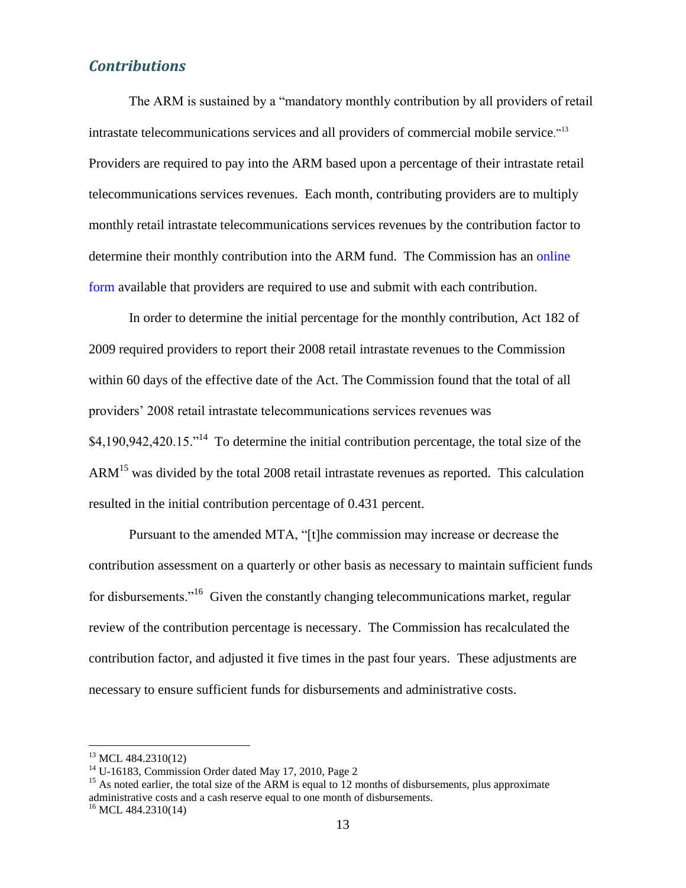### <span id="page-13-0"></span>*Contributions*

The ARM is sustained by a "mandatory monthly contribution by all providers of retail intrastate telecommunications services and all providers of commercial mobile service."<sup>13</sup> Providers are required to pay into the ARM based upon a percentage of their intrastate retail telecommunications services revenues. Each month, contributing providers are to multiply monthly retail intrastate telecommunications services revenues by the contribution factor to determine their monthly contribution into the ARM fund. The Commission has an [online](http://efile.mpsc.state.mi.us/phpsc/comm/armccm/)  [form](http://efile.mpsc.state.mi.us/phpsc/comm/armccm/) available that providers are required to use and submit with each contribution.

In order to determine the initial percentage for the monthly contribution, Act 182 of 2009 required providers to report their 2008 retail intrastate revenues to the Commission within 60 days of the effective date of the Act. The Commission found that the total of all providers' 2008 retail intrastate telecommunications services revenues was  $$4,190,942,420.15."$ <sup>14</sup> To determine the initial contribution percentage, the total size of the  $ARM<sup>15</sup>$  was divided by the total 2008 retail intrastate revenues as reported. This calculation resulted in the initial contribution percentage of 0.431 percent.

Pursuant to the amended MTA, "[t]he commission may increase or decrease the contribution assessment on a quarterly or other basis as necessary to maintain sufficient funds for disbursements."<sup>16</sup> Given the constantly changing telecommunications market, regular review of the contribution percentage is necessary. The Commission has recalculated the contribution factor, and adjusted it five times in the past four years. These adjustments are necessary to ensure sufficient funds for disbursements and administrative costs.

 $13$  MCL 484.2310(12)

 $14$  U-16183, Commission Order dated May 17, 2010, Page 2

<sup>&</sup>lt;sup>15</sup> As noted earlier, the total size of the ARM is equal to 12 months of disbursements, plus approximate administrative costs and a cash reserve equal to one month of disbursements.

 $16$  MCL 484.2310(14)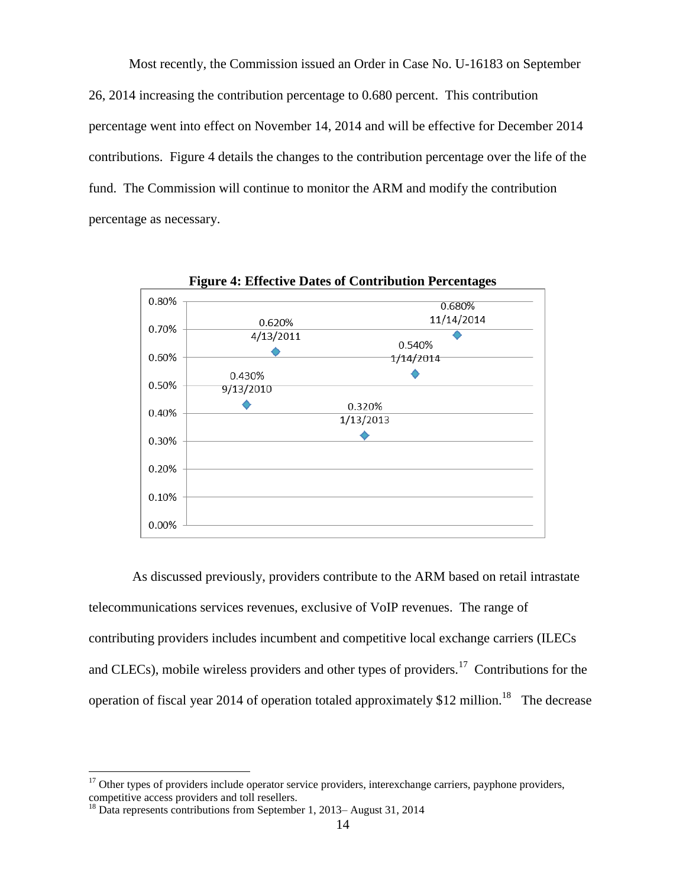Most recently, the Commission issued an Order in Case No. U-16183 on September 26, 2014 increasing the contribution percentage to 0.680 percent. This contribution percentage went into effect on November 14, 2014 and will be effective for December 2014 contributions. Figure 4 details the changes to the contribution percentage over the life of the fund. The Commission will continue to monitor the ARM and modify the contribution percentage as necessary.



As discussed previously, providers contribute to the ARM based on retail intrastate telecommunications services revenues, exclusive of VoIP revenues. The range of contributing providers includes incumbent and competitive local exchange carriers (ILECs and CLECs), mobile wireless providers and other types of providers.<sup>17</sup> Contributions for the operation of fiscal year 2014 of operation totaled approximately \$12 million.<sup>18</sup> The decrease

 $17$  Other types of providers include operator service providers, interexchange carriers, payphone providers, competitive access providers and toll resellers.

<sup>&</sup>lt;sup>18</sup> Data represents contributions from September 1, 2013– August 31, 2014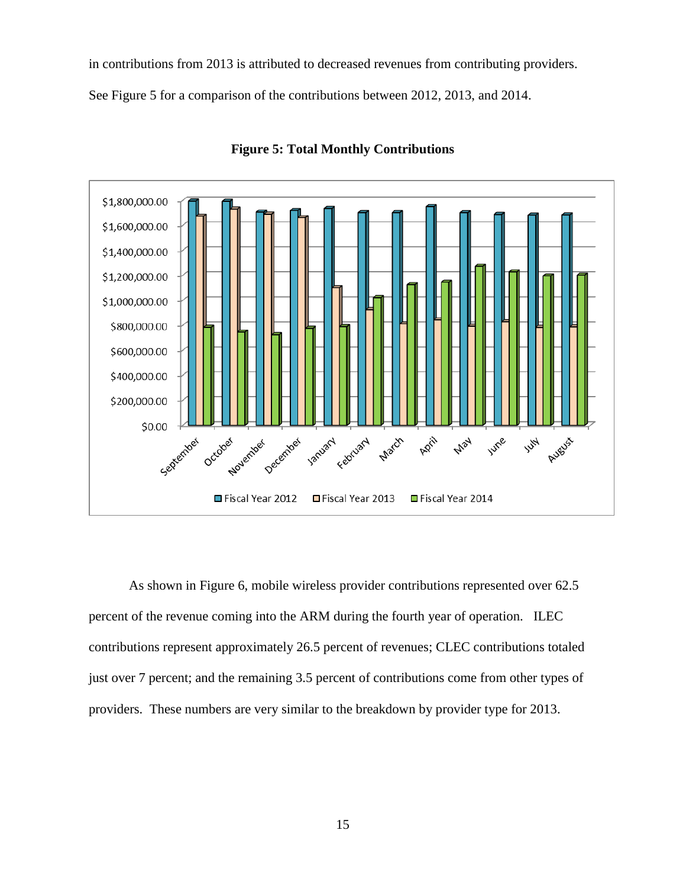in contributions from 2013 is attributed to decreased revenues from contributing providers.

See Figure 5 for a comparison of the contributions between 2012, 2013, and 2014.



**Figure 5: Total Monthly Contributions**

As shown in Figure 6, mobile wireless provider contributions represented over 62.5 percent of the revenue coming into the ARM during the fourth year of operation. ILEC contributions represent approximately 26.5 percent of revenues; CLEC contributions totaled just over 7 percent; and the remaining 3.5 percent of contributions come from other types of providers. These numbers are very similar to the breakdown by provider type for 2013.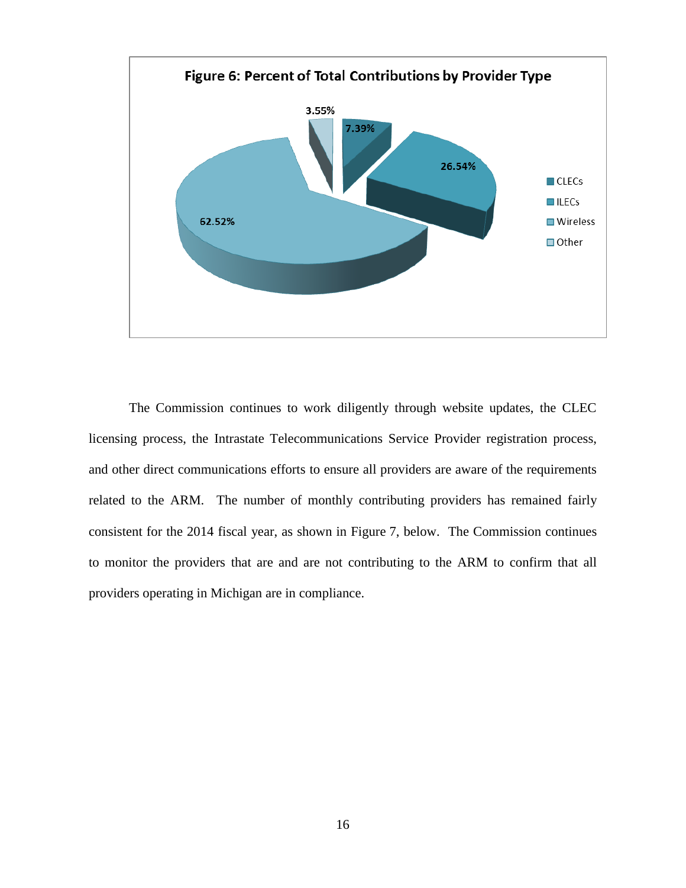

The Commission continues to work diligently through website updates, the CLEC licensing process, the Intrastate Telecommunications Service Provider registration process, and other direct communications efforts to ensure all providers are aware of the requirements related to the ARM. The number of monthly contributing providers has remained fairly consistent for the 2014 fiscal year, as shown in Figure 7, below. The Commission continues to monitor the providers that are and are not contributing to the ARM to confirm that all providers operating in Michigan are in compliance.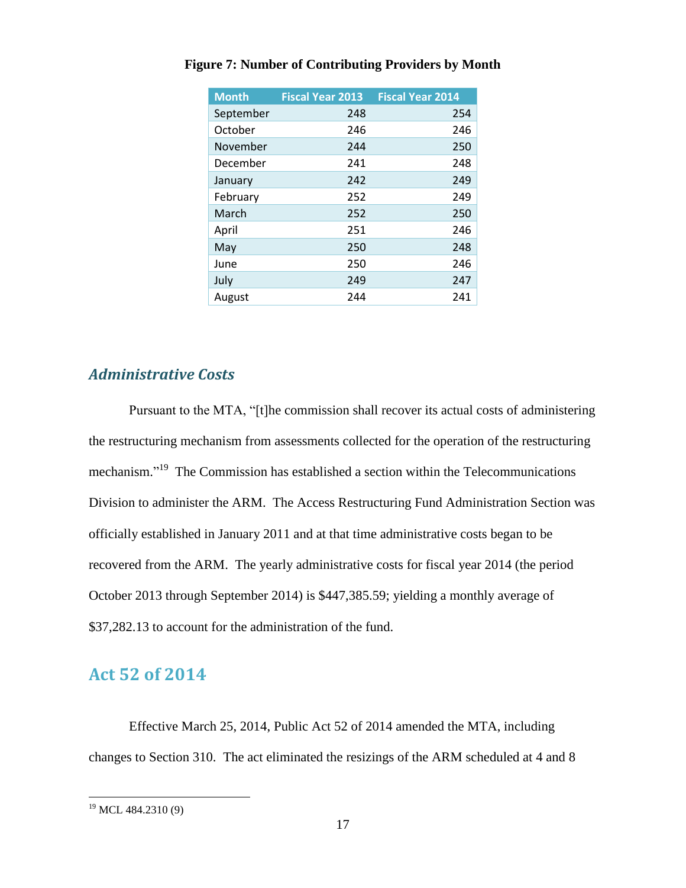| <b>Month</b> | <b>Fiscal Year 2013</b> | <b>Fiscal Year 2014</b> |
|--------------|-------------------------|-------------------------|
| September    | 248                     | 254                     |
| October      | 246                     | 246                     |
| November     | 244                     | 250                     |
| December     | 241                     | 248                     |
| January      | 242                     | 249                     |
| February     | 252                     | 249                     |
| March        | 252                     | 250                     |
| April        | 251                     | 246                     |
| May          | 250                     | 248                     |
| June         | 250                     | 246                     |
| July         | 249                     | 247                     |
| August       | 244                     | 241                     |

#### **Figure 7: Number of Contributing Providers by Month**

### <span id="page-17-0"></span>*Administrative Costs*

Pursuant to the MTA, "[t]he commission shall recover its actual costs of administering the restructuring mechanism from assessments collected for the operation of the restructuring mechanism."<sup>19</sup> The Commission has established a section within the Telecommunications Division to administer the ARM. The Access Restructuring Fund Administration Section was officially established in January 2011 and at that time administrative costs began to be recovered from the ARM. The yearly administrative costs for fiscal year 2014 (the period October 2013 through September 2014) is \$447,385.59; yielding a monthly average of \$37,282.13 to account for the administration of the fund.

## <span id="page-17-1"></span>**Act 52 of 2014**

Effective March 25, 2014, Public Act 52 of 2014 amended the MTA, including changes to Section 310. The act eliminated the resizings of the ARM scheduled at 4 and 8

 $\overline{a}$ <sup>19</sup> MCL 484.2310 (9)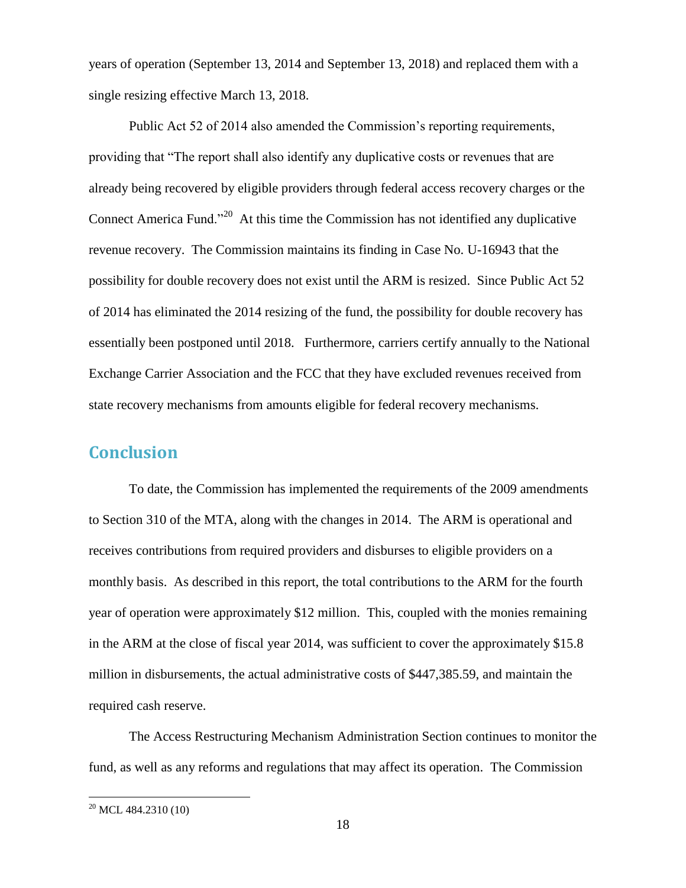years of operation (September 13, 2014 and September 13, 2018) and replaced them with a single resizing effective March 13, 2018.

Public Act 52 of 2014 also amended the Commission's reporting requirements, providing that "The report shall also identify any duplicative costs or revenues that are already being recovered by eligible providers through federal access recovery charges or the Connect America Fund."<sup>20</sup> At this time the Commission has not identified any duplicative revenue recovery. The Commission maintains its finding in Case No. U-16943 that the possibility for double recovery does not exist until the ARM is resized. Since Public Act 52 of 2014 has eliminated the 2014 resizing of the fund, the possibility for double recovery has essentially been postponed until 2018. Furthermore, carriers certify annually to the National Exchange Carrier Association and the FCC that they have excluded revenues received from state recovery mechanisms from amounts eligible for federal recovery mechanisms.

## <span id="page-18-0"></span>**Conclusion**

To date, the Commission has implemented the requirements of the 2009 amendments to Section 310 of the MTA, along with the changes in 2014. The ARM is operational and receives contributions from required providers and disburses to eligible providers on a monthly basis. As described in this report, the total contributions to the ARM for the fourth year of operation were approximately \$12 million. This, coupled with the monies remaining in the ARM at the close of fiscal year 2014, was sufficient to cover the approximately \$15.8 million in disbursements, the actual administrative costs of \$447,385.59, and maintain the required cash reserve.

The Access Restructuring Mechanism Administration Section continues to monitor the fund, as well as any reforms and regulations that may affect its operation. The Commission

 $20$  MCL 484.2310 (10)